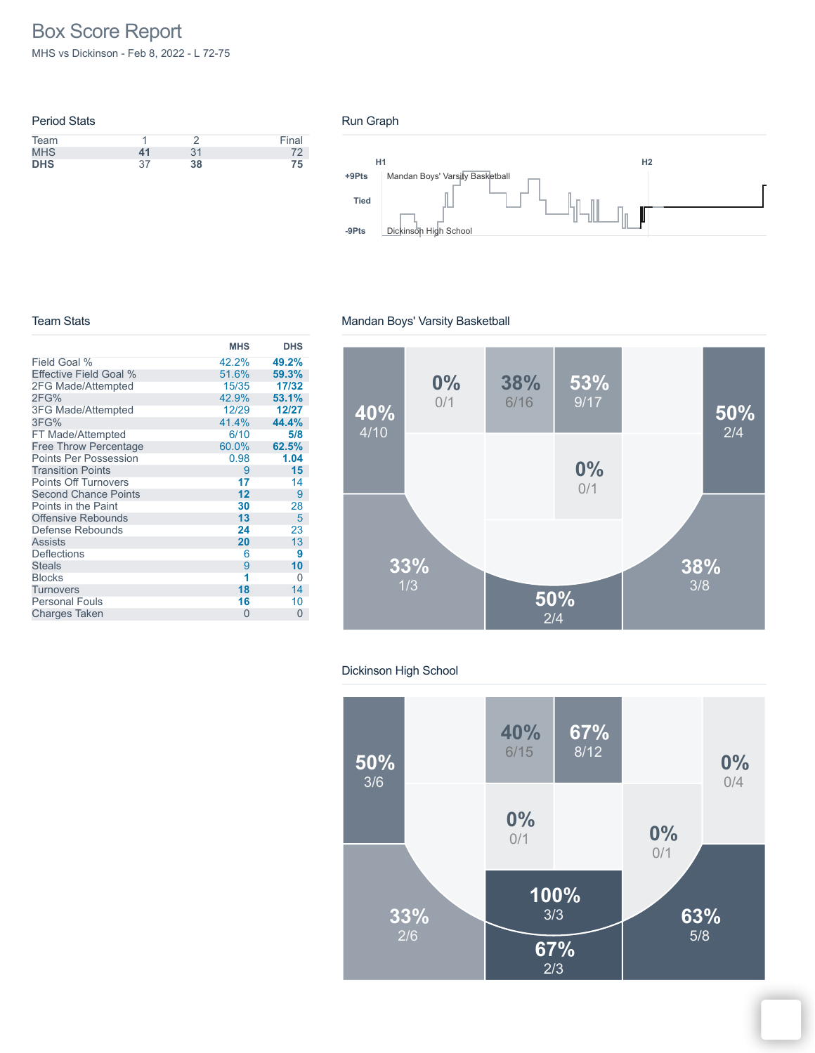# Box Score Report

MHS vs Dickinson - Feb 8, 2022 - L 72-75

|    |    | Final |
|----|----|-------|
| 41 | 31 | 72    |
| 37 | 38 | 75    |
|    |    |       |

#### Run Graph



#### Team Stats

|                               | <b>MHS</b> | <b>DHS</b> |
|-------------------------------|------------|------------|
| Field Goal %                  | 42.2%      | 49.2%      |
| <b>Effective Field Goal %</b> | 51.6%      | 59.3%      |
| 2FG Made/Attempted            | 15/35      | 17/32      |
| 2FG%                          | 42.9%      | 53.1%      |
| <b>3FG Made/Attempted</b>     | 12/29      | 12/27      |
| 3FG%                          | 41.4%      | 44.4%      |
| FT Made/Attempted             | 6/10       | 5/8        |
| <b>Free Throw Percentage</b>  | 60.0%      | 62.5%      |
| <b>Points Per Possession</b>  | 0.98       | 1.04       |
| <b>Transition Points</b>      | 9          | 15         |
| <b>Points Off Turnovers</b>   | 17         | 14         |
| <b>Second Chance Points</b>   | 12         | 9          |
| Points in the Paint           | 30         | 28         |
| <b>Offensive Rebounds</b>     | 13         | 5          |
| Defense Rebounds              | 24         | 23         |
| <b>Assists</b>                | 20         | 13         |
| <b>Deflections</b>            | 6          | 9          |
| <b>Steals</b>                 | 9          | 10         |
| <b>Blocks</b>                 | 1          | 0          |
| <b>Turnovers</b>              | 18         | 14         |
| <b>Personal Fouls</b>         | 16         | 10         |
| <b>Charges Taken</b>          | $\Omega$   | 0          |

#### Mandan Boys' Varsity Basketball



#### Dickinson High School